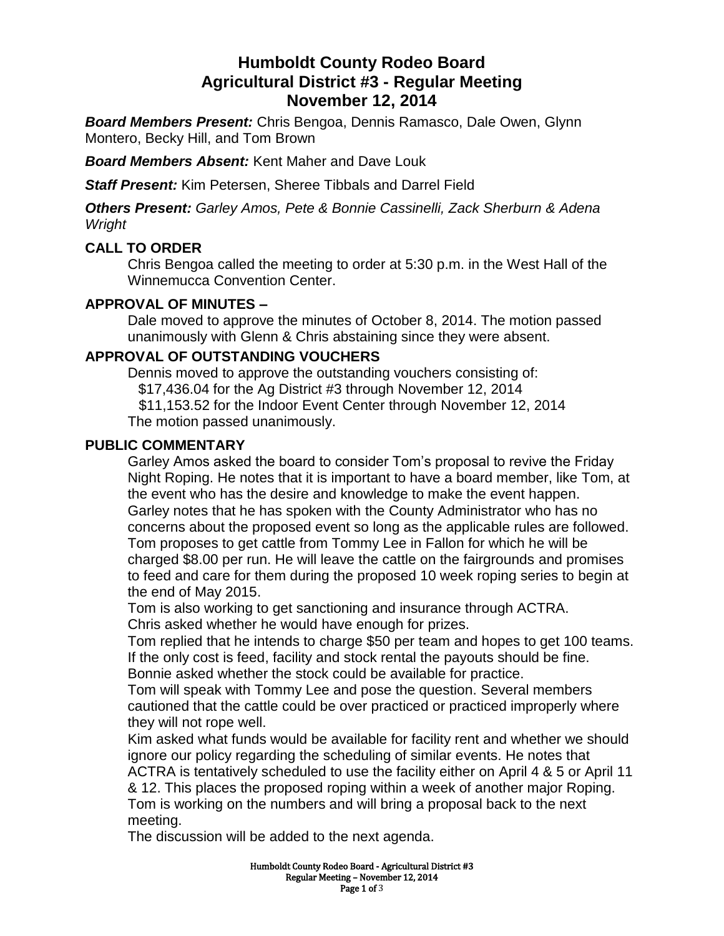# **Humboldt County Rodeo Board Agricultural District #3 - Regular Meeting November 12, 2014**

*Board Members Present:* Chris Bengoa, Dennis Ramasco, Dale Owen, Glynn Montero, Becky Hill, and Tom Brown

*Board Members Absent:* Kent Maher and Dave Louk

*Staff Present:* Kim Petersen, Sheree Tibbals and Darrel Field

*Others Present: Garley Amos, Pete & Bonnie Cassinelli, Zack Sherburn & Adena Wright*

# **CALL TO ORDER**

Chris Bengoa called the meeting to order at 5:30 p.m. in the West Hall of the Winnemucca Convention Center.

# **APPROVAL OF MINUTES –**

Dale moved to approve the minutes of October 8, 2014. The motion passed unanimously with Glenn & Chris abstaining since they were absent.

# **APPROVAL OF OUTSTANDING VOUCHERS**

Dennis moved to approve the outstanding vouchers consisting of: \$17,436.04 for the Ag District #3 through November 12, 2014 \$11,153.52 for the Indoor Event Center through November 12, 2014 The motion passed unanimously.

## **PUBLIC COMMENTARY**

Garley Amos asked the board to consider Tom's proposal to revive the Friday Night Roping. He notes that it is important to have a board member, like Tom, at the event who has the desire and knowledge to make the event happen. Garley notes that he has spoken with the County Administrator who has no concerns about the proposed event so long as the applicable rules are followed. Tom proposes to get cattle from Tommy Lee in Fallon for which he will be charged \$8.00 per run. He will leave the cattle on the fairgrounds and promises to feed and care for them during the proposed 10 week roping series to begin at the end of May 2015.

Tom is also working to get sanctioning and insurance through ACTRA. Chris asked whether he would have enough for prizes.

Tom replied that he intends to charge \$50 per team and hopes to get 100 teams. If the only cost is feed, facility and stock rental the payouts should be fine. Bonnie asked whether the stock could be available for practice.

Tom will speak with Tommy Lee and pose the question. Several members cautioned that the cattle could be over practiced or practiced improperly where they will not rope well.

Kim asked what funds would be available for facility rent and whether we should ignore our policy regarding the scheduling of similar events. He notes that ACTRA is tentatively scheduled to use the facility either on April 4 & 5 or April 11

& 12. This places the proposed roping within a week of another major Roping. Tom is working on the numbers and will bring a proposal back to the next meeting.

The discussion will be added to the next agenda.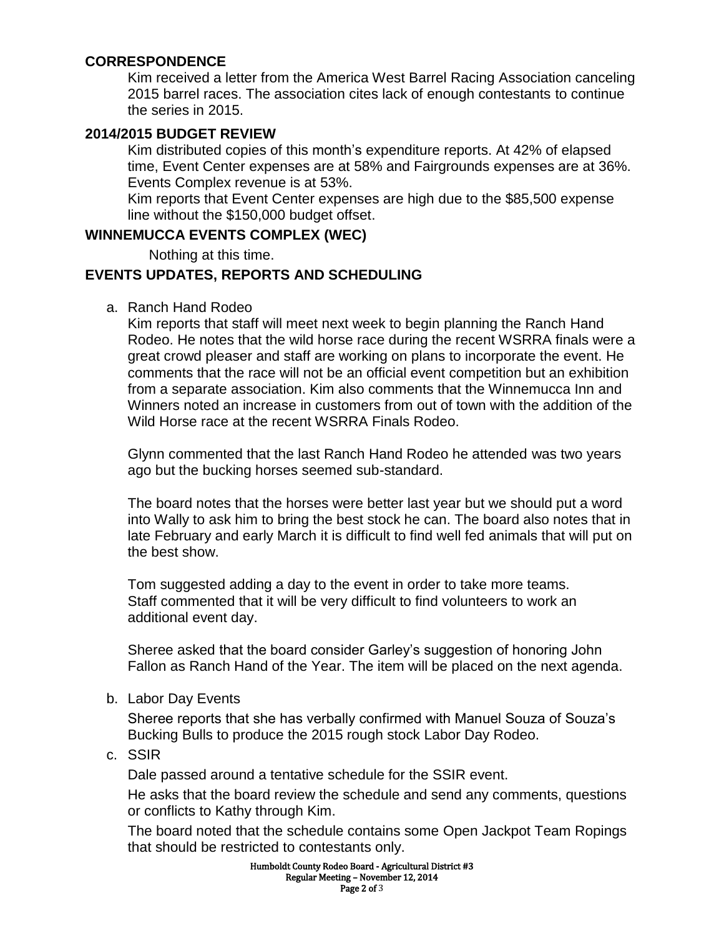### **CORRESPONDENCE**

Kim received a letter from the America West Barrel Racing Association canceling 2015 barrel races. The association cites lack of enough contestants to continue the series in 2015.

### **2014/2015 BUDGET REVIEW**

Kim distributed copies of this month's expenditure reports. At 42% of elapsed time, Event Center expenses are at 58% and Fairgrounds expenses are at 36%. Events Complex revenue is at 53%.

Kim reports that Event Center expenses are high due to the \$85,500 expense line without the \$150,000 budget offset.

#### **WINNEMUCCA EVENTS COMPLEX (WEC)**

Nothing at this time.

#### **EVENTS UPDATES, REPORTS AND SCHEDULING**

a. Ranch Hand Rodeo

Kim reports that staff will meet next week to begin planning the Ranch Hand Rodeo. He notes that the wild horse race during the recent WSRRA finals were a great crowd pleaser and staff are working on plans to incorporate the event. He comments that the race will not be an official event competition but an exhibition from a separate association. Kim also comments that the Winnemucca Inn and Winners noted an increase in customers from out of town with the addition of the Wild Horse race at the recent WSRRA Finals Rodeo.

Glynn commented that the last Ranch Hand Rodeo he attended was two years ago but the bucking horses seemed sub-standard.

The board notes that the horses were better last year but we should put a word into Wally to ask him to bring the best stock he can. The board also notes that in late February and early March it is difficult to find well fed animals that will put on the best show.

Tom suggested adding a day to the event in order to take more teams. Staff commented that it will be very difficult to find volunteers to work an additional event day.

Sheree asked that the board consider Garley's suggestion of honoring John Fallon as Ranch Hand of the Year. The item will be placed on the next agenda.

b. Labor Day Events

Sheree reports that she has verbally confirmed with Manuel Souza of Souza's Bucking Bulls to produce the 2015 rough stock Labor Day Rodeo.

c. SSIR

Dale passed around a tentative schedule for the SSIR event.

He asks that the board review the schedule and send any comments, questions or conflicts to Kathy through Kim.

The board noted that the schedule contains some Open Jackpot Team Ropings that should be restricted to contestants only.

> Humboldt County Rodeo Board - Agricultural District #3 Regular Meeting – November 12, 2014 Page 2 of 3